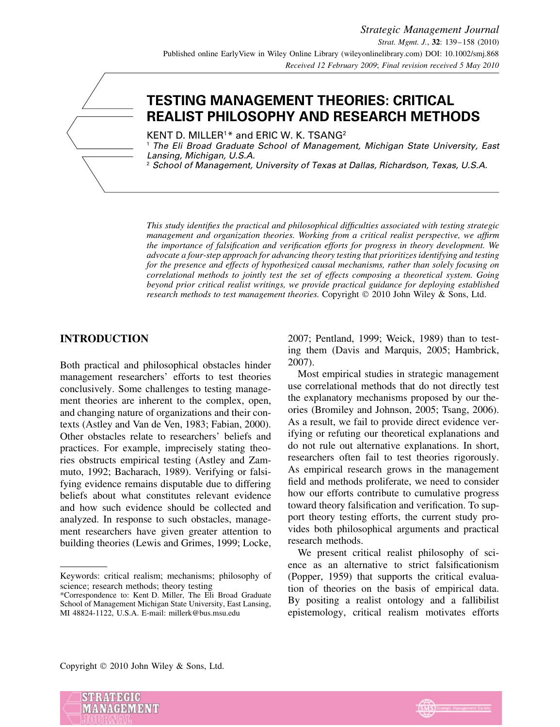# **TESTING MANAGEMENT THEORIES: CRITICAL REALIST PHILOSOPHY AND RESEARCH METHODS**

KENT D. MILLER<sup>1\*</sup> and ERIC W. K. TSANG<sup>2</sup>

<sup>1</sup> The Eli Broad Graduate School of Management, Michigan State University, East Lansing, Michigan, U.S.A.

<sup>2</sup> School of Management, University of Texas at Dallas, Richardson, Texas, U.S.A.

*This study identifies the practical and philosophical difficulties associated with testing strategic management and organization theories. Working from a critical realist perspective, we affirm the importance of falsification and verification efforts for progress in theory development. We advocate a four-step approach for advancing theory testing that prioritizes identifying and testing for the presence and effects of hypothesized causal mechanisms, rather than solely focusing on correlational methods to jointly test the set of effects composing a theoretical system. Going beyond prior critical realist writings, we provide practical guidance for deploying established research methods to test management theories.* Copyright  $\oslash$  2010 John Wiley & Sons, Ltd.

# **INTRODUCTION**

Both practical and philosophical obstacles hinder management researchers' efforts to test theories conclusively. Some challenges to testing management theories are inherent to the complex, open, and changing nature of organizations and their contexts (Astley and Van de Ven, 1983; Fabian, 2000). Other obstacles relate to researchers' beliefs and practices. For example, imprecisely stating theories obstructs empirical testing (Astley and Zammuto, 1992; Bacharach, 1989). Verifying or falsifying evidence remains disputable due to differing beliefs about what constitutes relevant evidence and how such evidence should be collected and analyzed. In response to such obstacles, management researchers have given greater attention to building theories (Lewis and Grimes, 1999; Locke,

Keywords: critical realism; mechanisms; philosophy of science; research methods; theory testing

\*Correspondence to: Kent D. Miller, The Eli Broad Graduate School of Management Michigan State University, East Lansing, MI 48824-1122, U.S.A. E-mail: millerk@bus.msu.edu

2007; Pentland, 1999; Weick, 1989) than to testing them (Davis and Marquis, 2005; Hambrick, 2007).

Most empirical studies in strategic management use correlational methods that do not directly test the explanatory mechanisms proposed by our theories (Bromiley and Johnson, 2005; Tsang, 2006). As a result, we fail to provide direct evidence verifying or refuting our theoretical explanations and do not rule out alternative explanations. In short, researchers often fail to test theories rigorously. As empirical research grows in the management field and methods proliferate, we need to consider how our efforts contribute to cumulative progress toward theory falsification and verification. To support theory testing efforts, the current study provides both philosophical arguments and practical research methods.

We present critical realist philosophy of science as an alternative to strict falsificationism (Popper, 1959) that supports the critical evaluation of theories on the basis of empirical data. By positing a realist ontology and a fallibilist epistemology, critical realism motivates efforts

Copyright  $\odot$  2010 John Wiley & Sons, Ltd.



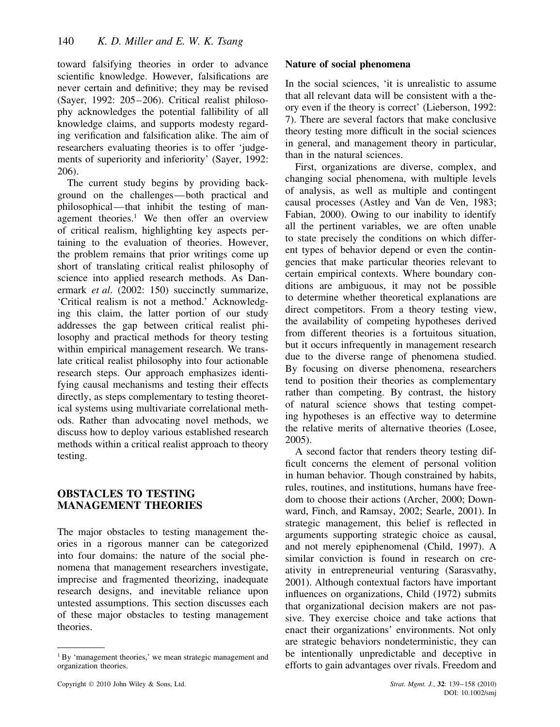toward falsifying theories in order to advance scientific knowledge. However, falsifications are never certain and definitive; they may be revised (Sayer, 1992: 205–206). Critical realist philosophy acknowledges the potential fallibility of all knowledge claims, and supports modesty regarding verification and falsification alike. The aim of researchers evaluating theories is to offer 'judgements of superiority and inferiority' (Sayer, 1992: 206).

The current study begins by providing background on the challenges—both practical and philosophical—that inhibit the testing of management theories.<sup>1</sup> We then offer an overview of critical realism, highlighting key aspects pertaining to the evaluation of theories. However, the problem remains that prior writings come up short of translating critical realist philosophy of science into applied research methods. As Danermark *et al*. (2002: 150) succinctly summarize, 'Critical realism is not a method.' Acknowledging this claim, the latter portion of our study addresses the gap between critical realist philosophy and practical methods for theory testing within empirical management research. We translate critical realist philosophy into four actionable research steps. Our approach emphasizes identifying causal mechanisms and testing their effects directly, as steps complementary to testing theoretical systems using multivariate correlational methods. Rather than advocating novel methods, we discuss how to deploy various established research methods within a critical realist approach to theory testing.

# **OBSTACLES TO TESTING MANAGEMENT THEORIES**

The major obstacles to testing management theories in a rigorous manner can be categorized into four domains: the nature of the social phenomena that management researchers investigate, imprecise and fragmented theorizing, inadequate research designs, and inevitable reliance upon untested assumptions. This section discusses each of these major obstacles to testing management theories.

## **Nature of social phenomena**

In the social sciences, 'it is unrealistic to assume that all relevant data will be consistent with a theory even if the theory is correct' (Lieberson, 1992: 7). There are several factors that make conclusive theory testing more difficult in the social sciences in general, and management theory in particular, than in the natural sciences.

First, organizations are diverse, complex, and changing social phenomena, with multiple levels of analysis, as well as multiple and contingent causal processes (Astley and Van de Ven, 1983; Fabian, 2000). Owing to our inability to identify all the pertinent variables, we are often unable to state precisely the conditions on which different types of behavior depend or even the contingencies that make particular theories relevant to certain empirical contexts. Where boundary conditions are ambiguous, it may not be possible to determine whether theoretical explanations are direct competitors. From a theory testing view, the availability of competing hypotheses derived from different theories is a fortuitous situation, but it occurs infrequently in management research due to the diverse range of phenomena studied. By focusing on diverse phenomena, researchers tend to position their theories as complementary rather than competing. By contrast, the history of natural science shows that testing competing hypotheses is an effective way to determine the relative merits of alternative theories (Losee, 2005).

A second factor that renders theory testing difficult concerns the element of personal volition in human behavior. Though constrained by habits, rules, routines, and institutions, humans have freedom to choose their actions (Archer, 2000; Downward, Finch, and Ramsay, 2002; Searle, 2001). In strategic management, this belief is reflected in arguments supporting strategic choice as causal, and not merely epiphenomenal (Child, 1997). A similar conviction is found in research on creativity in entrepreneurial venturing (Sarasvathy, 2001). Although contextual factors have important influences on organizations, Child (1972) submits that organizational decision makers are not passive. They exercise choice and take actions that enact their organizations' environments. Not only are strategic behaviors nondeterministic, they can be intentionally unpredictable and deceptive in efforts to gain advantages over rivals. Freedom and

<sup>&</sup>lt;sup>1</sup> By 'management theories,' we mean strategic management and organization theories.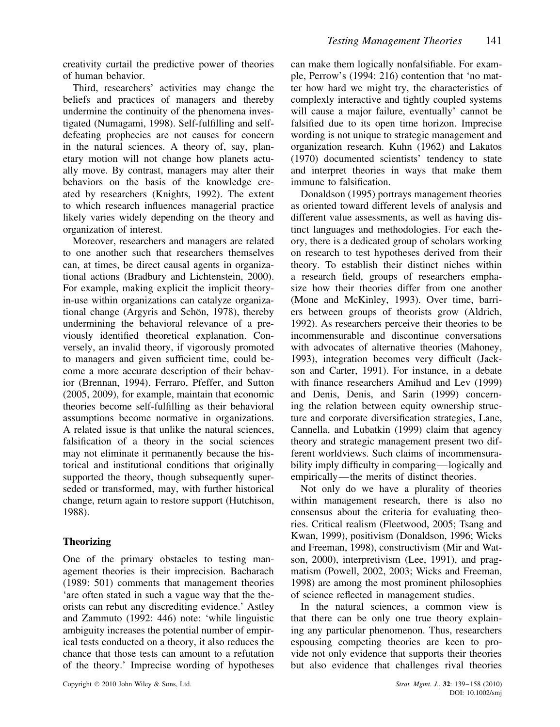creativity curtail the predictive power of theories of human behavior.

Third, researchers' activities may change the beliefs and practices of managers and thereby undermine the continuity of the phenomena investigated (Numagami, 1998). Self-fulfilling and selfdefeating prophecies are not causes for concern in the natural sciences. A theory of, say, planetary motion will not change how planets actually move. By contrast, managers may alter their behaviors on the basis of the knowledge created by researchers (Knights, 1992). The extent to which research influences managerial practice likely varies widely depending on the theory and organization of interest.

Moreover, researchers and managers are related to one another such that researchers themselves can, at times, be direct causal agents in organizational actions (Bradbury and Lichtenstein, 2000). For example, making explicit the implicit theoryin-use within organizations can catalyze organizational change (Argyris and Schön, 1978), thereby undermining the behavioral relevance of a previously identified theoretical explanation. Conversely, an invalid theory, if vigorously promoted to managers and given sufficient time, could become a more accurate description of their behavior (Brennan, 1994). Ferraro, Pfeffer, and Sutton (2005, 2009), for example, maintain that economic theories become self-fulfilling as their behavioral assumptions become normative in organizations. A related issue is that unlike the natural sciences, falsification of a theory in the social sciences may not eliminate it permanently because the historical and institutional conditions that originally supported the theory, though subsequently superseded or transformed, may, with further historical change, return again to restore support (Hutchison, 1988).

# **Theorizing**

One of the primary obstacles to testing management theories is their imprecision. Bacharach (1989: 501) comments that management theories 'are often stated in such a vague way that the theorists can rebut any discrediting evidence.' Astley and Zammuto (1992: 446) note: 'while linguistic ambiguity increases the potential number of empirical tests conducted on a theory, it also reduces the chance that those tests can amount to a refutation of the theory.' Imprecise wording of hypotheses

can make them logically nonfalsifiable. For example, Perrow's (1994: 216) contention that 'no matter how hard we might try, the characteristics of complexly interactive and tightly coupled systems will cause a major failure, eventually' cannot be falsified due to its open time horizon. Imprecise wording is not unique to strategic management and organization research. Kuhn (1962) and Lakatos (1970) documented scientists' tendency to state and interpret theories in ways that make them immune to falsification.

Donaldson (1995) portrays management theories as oriented toward different levels of analysis and different value assessments, as well as having distinct languages and methodologies. For each theory, there is a dedicated group of scholars working on research to test hypotheses derived from their theory. To establish their distinct niches within a research field, groups of researchers emphasize how their theories differ from one another (Mone and McKinley, 1993). Over time, barriers between groups of theorists grow (Aldrich, 1992). As researchers perceive their theories to be incommensurable and discontinue conversations with advocates of alternative theories (Mahoney, 1993), integration becomes very difficult (Jackson and Carter, 1991). For instance, in a debate with finance researchers Amihud and Lev (1999) and Denis, Denis, and Sarin (1999) concerning the relation between equity ownership structure and corporate diversification strategies, Lane, Cannella, and Lubatkin (1999) claim that agency theory and strategic management present two different worldviews. Such claims of incommensurability imply difficulty in comparing—logically and empirically—the merits of distinct theories.

Not only do we have a plurality of theories within management research, there is also no consensus about the criteria for evaluating theories. Critical realism (Fleetwood, 2005; Tsang and Kwan, 1999), positivism (Donaldson, 1996; Wicks and Freeman, 1998), constructivism (Mir and Watson, 2000), interpretivism (Lee, 1991), and pragmatism (Powell, 2002, 2003; Wicks and Freeman, 1998) are among the most prominent philosophies of science reflected in management studies.

In the natural sciences, a common view is that there can be only one true theory explaining any particular phenomenon. Thus, researchers espousing competing theories are keen to provide not only evidence that supports their theories but also evidence that challenges rival theories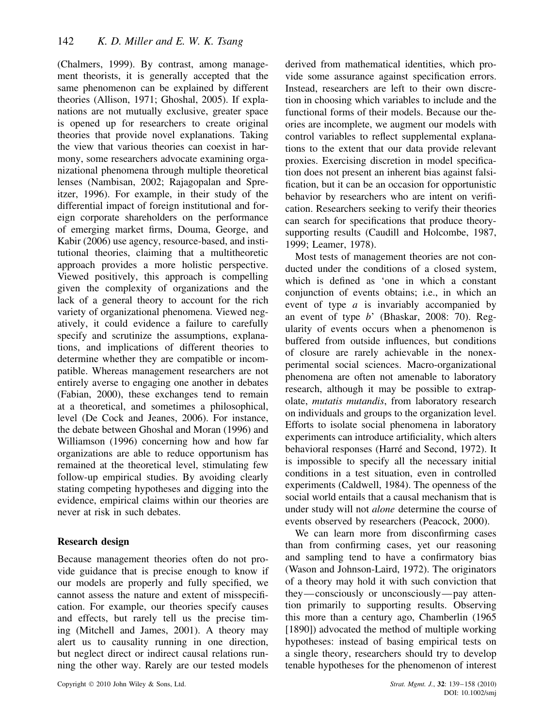(Chalmers, 1999). By contrast, among management theorists, it is generally accepted that the same phenomenon can be explained by different theories (Allison, 1971; Ghoshal, 2005). If explanations are not mutually exclusive, greater space is opened up for researchers to create original theories that provide novel explanations. Taking the view that various theories can coexist in harmony, some researchers advocate examining organizational phenomena through multiple theoretical lenses (Nambisan, 2002; Rajagopalan and Spreitzer, 1996). For example, in their study of the differential impact of foreign institutional and foreign corporate shareholders on the performance of emerging market firms, Douma, George, and Kabir (2006) use agency, resource-based, and institutional theories, claiming that a multitheoretic approach provides a more holistic perspective. Viewed positively, this approach is compelling given the complexity of organizations and the lack of a general theory to account for the rich variety of organizational phenomena. Viewed negatively, it could evidence a failure to carefully specify and scrutinize the assumptions, explanations, and implications of different theories to determine whether they are compatible or incompatible. Whereas management researchers are not entirely averse to engaging one another in debates (Fabian, 2000), these exchanges tend to remain at a theoretical, and sometimes a philosophical, level (De Cock and Jeanes, 2006). For instance, the debate between Ghoshal and Moran (1996) and Williamson (1996) concerning how and how far organizations are able to reduce opportunism has remained at the theoretical level, stimulating few follow-up empirical studies. By avoiding clearly stating competing hypotheses and digging into the evidence, empirical claims within our theories are never at risk in such debates.

# **Research design**

Because management theories often do not provide guidance that is precise enough to know if our models are properly and fully specified, we cannot assess the nature and extent of misspecification. For example, our theories specify causes and effects, but rarely tell us the precise timing (Mitchell and James, 2001). A theory may alert us to causality running in one direction, but neglect direct or indirect causal relations running the other way. Rarely are our tested models derived from mathematical identities, which provide some assurance against specification errors. Instead, researchers are left to their own discretion in choosing which variables to include and the functional forms of their models. Because our theories are incomplete, we augment our models with control variables to reflect supplemental explanations to the extent that our data provide relevant proxies. Exercising discretion in model specification does not present an inherent bias against falsification, but it can be an occasion for opportunistic behavior by researchers who are intent on verification. Researchers seeking to verify their theories can search for specifications that produce theorysupporting results (Caudill and Holcombe, 1987, 1999; Leamer, 1978).

Most tests of management theories are not conducted under the conditions of a closed system, which is defined as 'one in which a constant conjunction of events obtains; i.e., in which an event of type *a* is invariably accompanied by an event of type *b*' (Bhaskar, 2008: 70). Regularity of events occurs when a phenomenon is buffered from outside influences, but conditions of closure are rarely achievable in the nonexperimental social sciences. Macro-organizational phenomena are often not amenable to laboratory research, although it may be possible to extrapolate, *mutatis mutandis*, from laboratory research on individuals and groups to the organization level. Efforts to isolate social phenomena in laboratory experiments can introduce artificiality, which alters behavioral responses (Harré and Second, 1972). It is impossible to specify all the necessary initial conditions in a test situation, even in controlled experiments (Caldwell, 1984). The openness of the social world entails that a causal mechanism that is under study will not *alone* determine the course of events observed by researchers (Peacock, 2000).

We can learn more from disconfirming cases than from confirming cases, yet our reasoning and sampling tend to have a confirmatory bias (Wason and Johnson-Laird, 1972). The originators of a theory may hold it with such conviction that they—consciously or unconsciously—pay attention primarily to supporting results. Observing this more than a century ago, Chamberlin (1965 [1890]) advocated the method of multiple working hypotheses: instead of basing empirical tests on a single theory, researchers should try to develop tenable hypotheses for the phenomenon of interest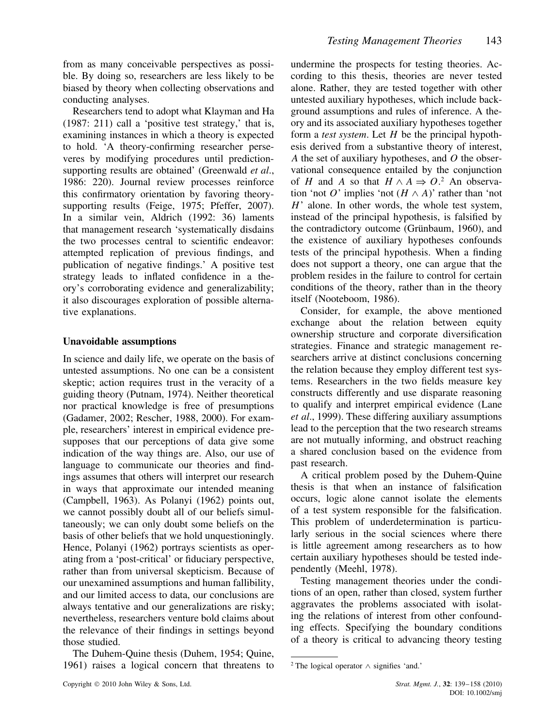from as many conceivable perspectives as possible. By doing so, researchers are less likely to be biased by theory when collecting observations and conducting analyses.

Researchers tend to adopt what Klayman and Ha (1987: 211) call a 'positive test strategy,' that is, examining instances in which a theory is expected to hold. 'A theory-confirming researcher perseveres by modifying procedures until predictionsupporting results are obtained' (Greenwald *et al*., 1986: 220). Journal review processes reinforce this confirmatory orientation by favoring theorysupporting results (Feige, 1975; Pfeffer, 2007). In a similar vein, Aldrich (1992: 36) laments that management research 'systematically disdains the two processes central to scientific endeavor: attempted replication of previous findings, and publication of negative findings.' A positive test strategy leads to inflated confidence in a theory's corroborating evidence and generalizability; it also discourages exploration of possible alternative explanations.

#### **Unavoidable assumptions**

In science and daily life, we operate on the basis of untested assumptions. No one can be a consistent skeptic; action requires trust in the veracity of a guiding theory (Putnam, 1974). Neither theoretical nor practical knowledge is free of presumptions (Gadamer, 2002; Rescher, 1988, 2000). For example, researchers' interest in empirical evidence presupposes that our perceptions of data give some indication of the way things are. Also, our use of language to communicate our theories and findings assumes that others will interpret our research in ways that approximate our intended meaning (Campbell, 1963). As Polanyi (1962) points out, we cannot possibly doubt all of our beliefs simultaneously; we can only doubt some beliefs on the basis of other beliefs that we hold unquestioningly. Hence, Polanyi (1962) portrays scientists as operating from a 'post-critical' or fiduciary perspective, rather than from universal skepticism. Because of our unexamined assumptions and human fallibility, and our limited access to data, our conclusions are always tentative and our generalizations are risky; nevertheless, researchers venture bold claims about the relevance of their findings in settings beyond those studied.

The Duhem-Quine thesis (Duhem, 1954; Quine, 1961) raises a logical concern that threatens to undermine the prospects for testing theories. According to this thesis, theories are never tested alone. Rather, they are tested together with other untested auxiliary hypotheses, which include background assumptions and rules of inference. A theory and its associated auxiliary hypotheses together form a *test system*. Let *H* be the principal hypothesis derived from a substantive theory of interest, *A* the set of auxiliary hypotheses, and *O* the observational consequence entailed by the conjunction of *H* and *A* so that  $H \wedge A \Rightarrow O^2$ . An observation 'not *O*' implies 'not  $(H \wedge A)$ ' rather than 'not *H*' alone. In other words, the whole test system, instead of the principal hypothesis, is falsified by the contradictory outcome (Grünbaum, 1960), and the existence of auxiliary hypotheses confounds tests of the principal hypothesis. When a finding does not support a theory, one can argue that the problem resides in the failure to control for certain conditions of the theory, rather than in the theory itself (Nooteboom, 1986).

Consider, for example, the above mentioned exchange about the relation between equity ownership structure and corporate diversification strategies. Finance and strategic management researchers arrive at distinct conclusions concerning the relation because they employ different test systems. Researchers in the two fields measure key constructs differently and use disparate reasoning to qualify and interpret empirical evidence (Lane *et al*., 1999). These differing auxiliary assumptions lead to the perception that the two research streams are not mutually informing, and obstruct reaching a shared conclusion based on the evidence from past research.

A critical problem posed by the Duhem-Quine thesis is that when an instance of falsification occurs, logic alone cannot isolate the elements of a test system responsible for the falsification. This problem of underdetermination is particularly serious in the social sciences where there is little agreement among researchers as to how certain auxiliary hypotheses should be tested independently (Meehl, 1978).

Testing management theories under the conditions of an open, rather than closed, system further aggravates the problems associated with isolating the relations of interest from other confounding effects. Specifying the boundary conditions of a theory is critical to advancing theory testing

<sup>2</sup> The logical operator ∧ signifies 'and.'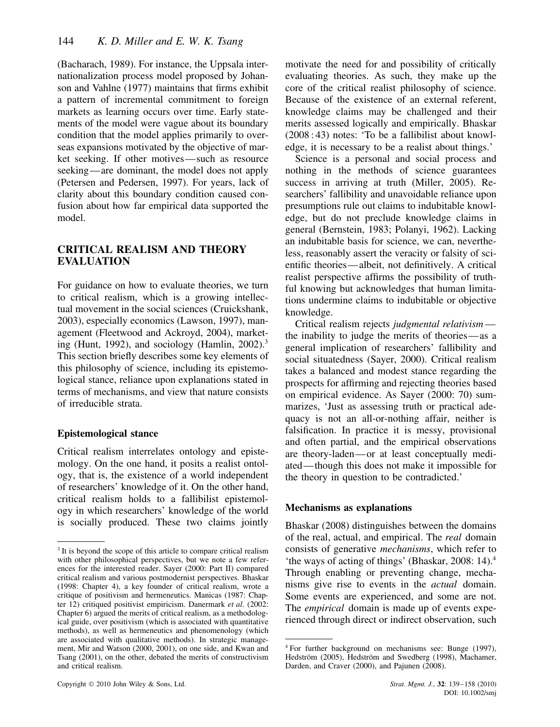(Bacharach, 1989). For instance, the Uppsala internationalization process model proposed by Johanson and Vahlne (1977) maintains that firms exhibit a pattern of incremental commitment to foreign markets as learning occurs over time. Early statements of the model were vague about its boundary condition that the model applies primarily to overseas expansions motivated by the objective of market seeking. If other motives—such as resource seeking—are dominant, the model does not apply (Petersen and Pedersen, 1997). For years, lack of clarity about this boundary condition caused confusion about how far empirical data supported the model.

# **CRITICAL REALISM AND THEORY EVALUATION**

For guidance on how to evaluate theories, we turn to critical realism, which is a growing intellectual movement in the social sciences (Cruickshank, 2003), especially economics (Lawson, 1997), management (Fleetwood and Ackroyd, 2004), marketing (Hunt, 1992), and sociology (Hamlin,  $2002$ ).<sup>3</sup> This section briefly describes some key elements of this philosophy of science, including its epistemological stance, reliance upon explanations stated in terms of mechanisms, and view that nature consists of irreducible strata.

## **Epistemological stance**

Critical realism interrelates ontology and epistemology. On the one hand, it posits a realist ontology, that is, the existence of a world independent of researchers' knowledge of it. On the other hand, critical realism holds to a fallibilist epistemology in which researchers' knowledge of the world is socially produced. These two claims jointly motivate the need for and possibility of critically evaluating theories. As such, they make up the core of the critical realist philosophy of science. Because of the existence of an external referent, knowledge claims may be challenged and their merits assessed logically and empirically. Bhaskar (2008 : 43) notes: 'To be a fallibilist about knowledge, it is necessary to be a realist about things.'

Science is a personal and social process and nothing in the methods of science guarantees success in arriving at truth (Miller, 2005). Researchers' fallibility and unavoidable reliance upon presumptions rule out claims to indubitable knowledge, but do not preclude knowledge claims in general (Bernstein, 1983; Polanyi, 1962). Lacking an indubitable basis for science, we can, nevertheless, reasonably assert the veracity or falsity of scientific theories—albeit, not definitively. A critical realist perspective affirms the possibility of truthful knowing but acknowledges that human limitations undermine claims to indubitable or objective knowledge.

Critical realism rejects *judgmental relativism* the inability to judge the merits of theories—as a general implication of researchers' fallibility and social situatedness (Sayer, 2000). Critical realism takes a balanced and modest stance regarding the prospects for affirming and rejecting theories based on empirical evidence. As Sayer (2000: 70) summarizes, 'Just as assessing truth or practical adequacy is not an all-or-nothing affair, neither is falsification. In practice it is messy, provisional and often partial, and the empirical observations are theory-laden—or at least conceptually mediated—though this does not make it impossible for the theory in question to be contradicted.'

#### **Mechanisms as explanations**

Bhaskar (2008) distinguishes between the domains of the real, actual, and empirical. The *real* domain consists of generative *mechanisms*, which refer to 'the ways of acting of things' (Bhaskar, 2008: 14).4 Through enabling or preventing change, mechanisms give rise to events in the *actual* domain. Some events are experienced, and some are not. The *empirical* domain is made up of events experienced through direct or indirect observation, such

<sup>&</sup>lt;sup>3</sup> It is beyond the scope of this article to compare critical realism with other philosophical perspectives, but we note a few references for the interested reader. Sayer (2000: Part II) compared critical realism and various postmodernist perspectives. Bhaskar (1998: Chapter 4), a key founder of critical realism, wrote a critique of positivism and hermeneutics. Manicas (1987: Chapter 12) critiqued positivist empiricism. Danermark *et al*. (2002: Chapter 6) argued the merits of critical realism, as a methodological guide, over positivism (which is associated with quantitative methods), as well as hermeneutics and phenomenology (which are associated with qualitative methods). In strategic management, Mir and Watson (2000, 2001), on one side, and Kwan and Tsang (2001), on the other, debated the merits of constructivism and critical realism.

<sup>4</sup> For further background on mechanisms see: Bunge (1997), Hedström (2005), Hedström and Swedberg (1998), Machamer, Darden, and Craver (2000), and Pajunen (2008).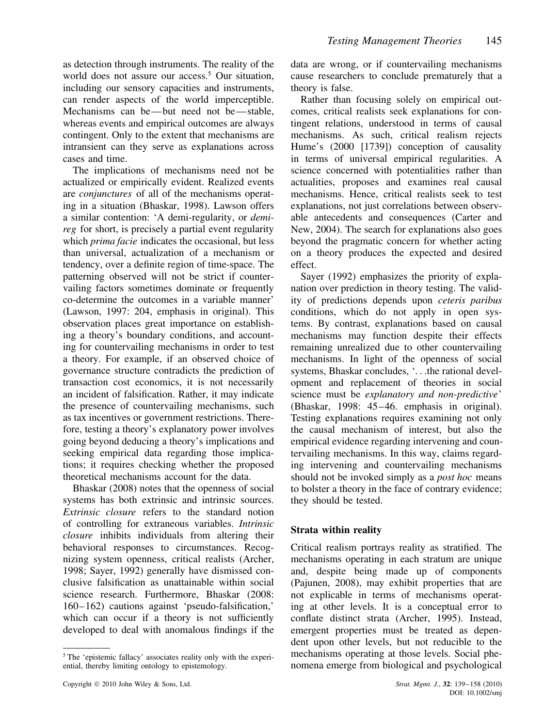as detection through instruments. The reality of the world does not assure our access.<sup>5</sup> Our situation, including our sensory capacities and instruments, can render aspects of the world imperceptible. Mechanisms can be—but need not be—stable, whereas events and empirical outcomes are always contingent. Only to the extent that mechanisms are intransient can they serve as explanations across cases and time.

The implications of mechanisms need not be actualized or empirically evident. Realized events are *conjunctures* of all of the mechanisms operating in a situation (Bhaskar, 1998). Lawson offers a similar contention: 'A demi-regularity, or *demireg* for short, is precisely a partial event regularity which *prima facie* indicates the occasional, but less than universal, actualization of a mechanism or tendency, over a definite region of time-space. The patterning observed will not be strict if countervailing factors sometimes dominate or frequently co-determine the outcomes in a variable manner' (Lawson, 1997: 204, emphasis in original). This observation places great importance on establishing a theory's boundary conditions, and accounting for countervailing mechanisms in order to test a theory. For example, if an observed choice of governance structure contradicts the prediction of transaction cost economics, it is not necessarily an incident of falsification. Rather, it may indicate the presence of countervailing mechanisms, such as tax incentives or government restrictions. Therefore, testing a theory's explanatory power involves going beyond deducing a theory's implications and seeking empirical data regarding those implications; it requires checking whether the proposed theoretical mechanisms account for the data.

Bhaskar (2008) notes that the openness of social systems has both extrinsic and intrinsic sources. *Extrinsic closure* refers to the standard notion of controlling for extraneous variables. *Intrinsic closure* inhibits individuals from altering their behavioral responses to circumstances. Recognizing system openness, critical realists (Archer, 1998; Sayer, 1992) generally have dismissed conclusive falsification as unattainable within social science research. Furthermore, Bhaskar (2008: 160–162) cautions against 'pseudo-falsification,' which can occur if a theory is not sufficiently developed to deal with anomalous findings if the data are wrong, or if countervailing mechanisms cause researchers to conclude prematurely that a theory is false.

Rather than focusing solely on empirical outcomes, critical realists seek explanations for contingent relations, understood in terms of causal mechanisms. As such, critical realism rejects Hume's (2000 [1739]) conception of causality in terms of universal empirical regularities. A science concerned with potentialities rather than actualities, proposes and examines real causal mechanisms. Hence, critical realists seek to test explanations, not just correlations between observable antecedents and consequences (Carter and New, 2004). The search for explanations also goes beyond the pragmatic concern for whether acting on a theory produces the expected and desired effect.

Sayer (1992) emphasizes the priority of explanation over prediction in theory testing. The validity of predictions depends upon *ceteris paribus* conditions, which do not apply in open systems. By contrast, explanations based on causal mechanisms may function despite their effects remaining unrealized due to other countervailing mechanisms. In light of the openness of social systems, Bhaskar concludes, '*...*the rational development and replacement of theories in social science must be *explanatory and non-predictive*' (Bhaskar, 1998: 45–46. emphasis in original). Testing explanations requires examining not only the causal mechanism of interest, but also the empirical evidence regarding intervening and countervailing mechanisms. In this way, claims regarding intervening and countervailing mechanisms should not be invoked simply as a *post hoc* means to bolster a theory in the face of contrary evidence; they should be tested.

## **Strata within reality**

Critical realism portrays reality as stratified. The mechanisms operating in each stratum are unique and, despite being made up of components (Pajunen, 2008), may exhibit properties that are not explicable in terms of mechanisms operating at other levels. It is a conceptual error to conflate distinct strata (Archer, 1995). Instead, emergent properties must be treated as dependent upon other levels, but not reducible to the mechanisms operating at those levels. Social phenomena emerge from biological and psychological

 $<sup>5</sup>$  The 'epistemic fallacy' associates reality only with the experi-</sup> ential, thereby limiting ontology to epistemology.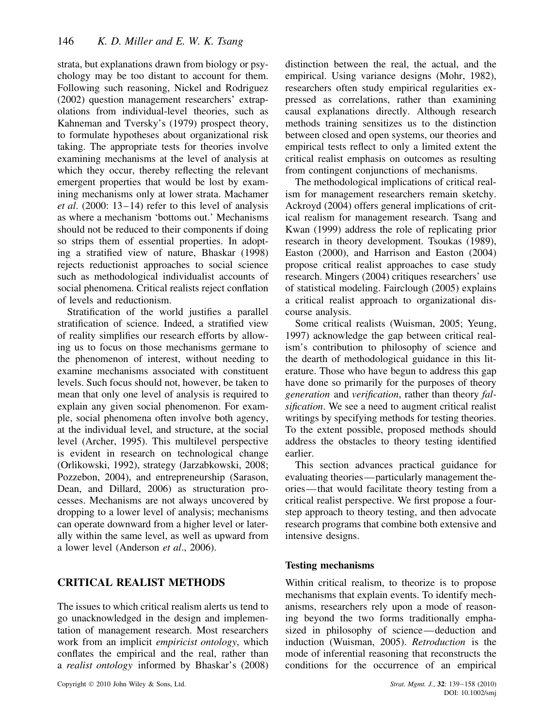strata, but explanations drawn from biology or psychology may be too distant to account for them. Following such reasoning, Nickel and Rodriguez (2002) question management researchers' extrapolations from individual-level theories, such as Kahneman and Tversky's (1979) prospect theory, to formulate hypotheses about organizational risk taking. The appropriate tests for theories involve examining mechanisms at the level of analysis at which they occur, thereby reflecting the relevant emergent properties that would be lost by examining mechanisms only at lower strata. Machamer *et al*. (2000: 13–14) refer to this level of analysis as where a mechanism 'bottoms out.' Mechanisms should not be reduced to their components if doing so strips them of essential properties. In adopting a stratified view of nature, Bhaskar (1998) rejects reductionist approaches to social science such as methodological individualist accounts of social phenomena. Critical realists reject conflation of levels and reductionism.

Stratification of the world justifies a parallel stratification of science. Indeed, a stratified view of reality simplifies our research efforts by allowing us to focus on those mechanisms germane to the phenomenon of interest, without needing to examine mechanisms associated with constituent levels. Such focus should not, however, be taken to mean that only one level of analysis is required to explain any given social phenomenon. For example, social phenomena often involve both agency, at the individual level, and structure, at the social level (Archer, 1995). This multilevel perspective is evident in research on technological change (Orlikowski, 1992), strategy (Jarzabkowski, 2008; Pozzebon, 2004), and entrepreneurship (Sarason, Dean, and Dillard, 2006) as structuration processes. Mechanisms are not always uncovered by dropping to a lower level of analysis; mechanisms can operate downward from a higher level or laterally within the same level, as well as upward from a lower level (Anderson *et al*., 2006).

# **CRITICAL REALIST METHODS**

The issues to which critical realism alerts us tend to go unacknowledged in the design and implementation of management research. Most researchers work from an implicit *empiricist ontology*, which conflates the empirical and the real, rather than a *realist ontology* informed by Bhaskar's (2008)

Copyright 2010 John Wiley & Sons, Ltd. *Strat. Mgmt. J.*, **32**: 139–158 (2010)

distinction between the real, the actual, and the empirical. Using variance designs (Mohr, 1982), researchers often study empirical regularities expressed as correlations, rather than examining causal explanations directly. Although research methods training sensitizes us to the distinction between closed and open systems, our theories and empirical tests reflect to only a limited extent the critical realist emphasis on outcomes as resulting from contingent conjunctions of mechanisms.

The methodological implications of critical realism for management researchers remain sketchy. Ackroyd (2004) offers general implications of critical realism for management research. Tsang and Kwan (1999) address the role of replicating prior research in theory development. Tsoukas (1989), Easton (2000), and Harrison and Easton (2004) propose critical realist approaches to case study research. Mingers (2004) critiques researchers' use of statistical modeling. Fairclough (2005) explains a critical realist approach to organizational discourse analysis.

Some critical realists (Wuisman, 2005; Yeung, 1997) acknowledge the gap between critical realism's contribution to philosophy of science and the dearth of methodological guidance in this literature. Those who have begun to address this gap have done so primarily for the purposes of theory *generation* and *verification*, rather than theory *falsification*. We see a need to augment critical realist writings by specifying methods for testing theories. To the extent possible, proposed methods should address the obstacles to theory testing identified earlier.

This section advances practical guidance for evaluating theories—particularly management theories—that would facilitate theory testing from a critical realist perspective. We first propose a fourstep approach to theory testing, and then advocate research programs that combine both extensive and intensive designs.

## **Testing mechanisms**

Within critical realism, to theorize is to propose mechanisms that explain events. To identify mechanisms, researchers rely upon a mode of reasoning beyond the two forms traditionally emphasized in philosophy of science—deduction and induction (Wuisman, 2005). *Retroduction* is the mode of inferential reasoning that reconstructs the conditions for the occurrence of an empirical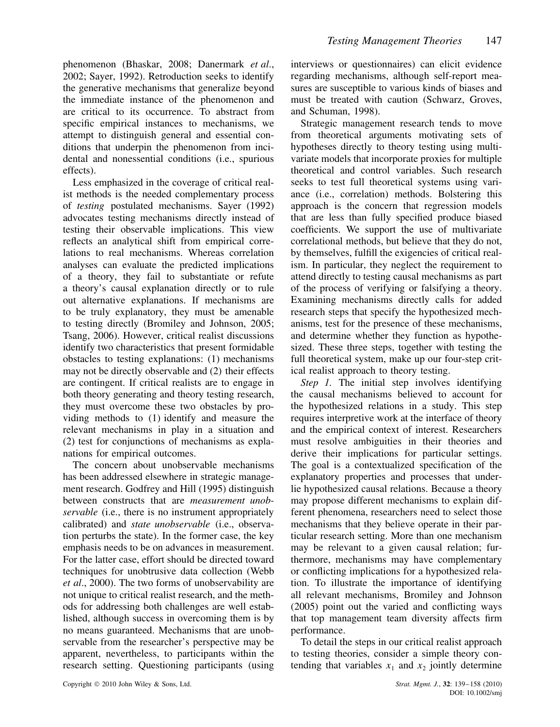phenomenon (Bhaskar, 2008; Danermark *et al*., 2002; Sayer, 1992). Retroduction seeks to identify the generative mechanisms that generalize beyond the immediate instance of the phenomenon and are critical to its occurrence. To abstract from specific empirical instances to mechanisms, we attempt to distinguish general and essential conditions that underpin the phenomenon from incidental and nonessential conditions (i.e., spurious effects).

Less emphasized in the coverage of critical realist methods is the needed complementary process of *testing* postulated mechanisms. Sayer (1992) advocates testing mechanisms directly instead of testing their observable implications. This view reflects an analytical shift from empirical correlations to real mechanisms. Whereas correlation analyses can evaluate the predicted implications of a theory, they fail to substantiate or refute a theory's causal explanation directly or to rule out alternative explanations. If mechanisms are to be truly explanatory, they must be amenable to testing directly (Bromiley and Johnson, 2005; Tsang, 2006). However, critical realist discussions identify two characteristics that present formidable obstacles to testing explanations: (1) mechanisms may not be directly observable and (2) their effects are contingent. If critical realists are to engage in both theory generating and theory testing research, they must overcome these two obstacles by providing methods to (1) identify and measure the relevant mechanisms in play in a situation and (2) test for conjunctions of mechanisms as explanations for empirical outcomes.

The concern about unobservable mechanisms has been addressed elsewhere in strategic management research. Godfrey and Hill (1995) distinguish between constructs that are *measurement unobservable* (i.e., there is no instrument appropriately calibrated) and *state unobservable* (i.e., observation perturbs the state). In the former case, the key emphasis needs to be on advances in measurement. For the latter case, effort should be directed toward techniques for unobtrusive data collection (Webb *et al*., 2000). The two forms of unobservability are not unique to critical realist research, and the methods for addressing both challenges are well established, although success in overcoming them is by no means guaranteed. Mechanisms that are unobservable from the researcher's perspective may be apparent, nevertheless, to participants within the research setting. Questioning participants (using interviews or questionnaires) can elicit evidence regarding mechanisms, although self-report measures are susceptible to various kinds of biases and must be treated with caution (Schwarz, Groves, and Schuman, 1998).

Strategic management research tends to move from theoretical arguments motivating sets of hypotheses directly to theory testing using multivariate models that incorporate proxies for multiple theoretical and control variables. Such research seeks to test full theoretical systems using variance (i.e., correlation) methods. Bolstering this approach is the concern that regression models that are less than fully specified produce biased coefficients. We support the use of multivariate correlational methods, but believe that they do not, by themselves, fulfill the exigencies of critical realism. In particular, they neglect the requirement to attend directly to testing causal mechanisms as part of the process of verifying or falsifying a theory. Examining mechanisms directly calls for added research steps that specify the hypothesized mechanisms, test for the presence of these mechanisms, and determine whether they function as hypothesized. These three steps, together with testing the full theoretical system, make up our four-step critical realist approach to theory testing.

*Step 1.* The initial step involves identifying the causal mechanisms believed to account for the hypothesized relations in a study. This step requires interpretive work at the interface of theory and the empirical context of interest. Researchers must resolve ambiguities in their theories and derive their implications for particular settings. The goal is a contextualized specification of the explanatory properties and processes that underlie hypothesized causal relations. Because a theory may propose different mechanisms to explain different phenomena, researchers need to select those mechanisms that they believe operate in their particular research setting. More than one mechanism may be relevant to a given causal relation; furthermore, mechanisms may have complementary or conflicting implications for a hypothesized relation. To illustrate the importance of identifying all relevant mechanisms, Bromiley and Johnson (2005) point out the varied and conflicting ways that top management team diversity affects firm performance.

To detail the steps in our critical realist approach to testing theories, consider a simple theory contending that variables  $x_1$  and  $x_2$  jointly determine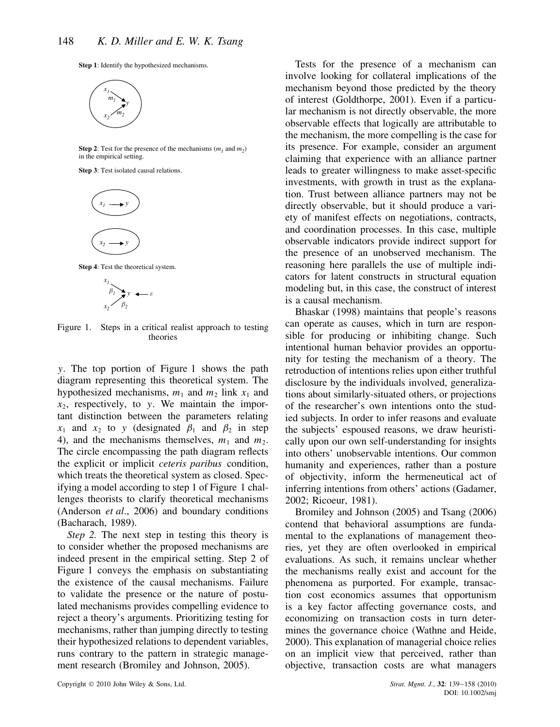**Step 1**: Identify the hypothesized mechanisms.



**Step 2**: Test for the presence of the mechanisms  $(m_1 \text{ and } m_2)$ in the empirical setting.

**Step 3**: Test isolated causal relations.







Figure 1. Steps in a critical realist approach to testing theories

*y*. The top portion of Figure 1 shows the path diagram representing this theoretical system. The hypothesized mechanisms,  $m_1$  and  $m_2$  link  $x_1$  and  $x_2$ , respectively, to *y*. We maintain the important distinction between the parameters relating  $x_1$  and  $x_2$  to *y* (designated  $\beta_1$  and  $\beta_2$  in step 4), and the mechanisms themselves,  $m_1$  and  $m_2$ . The circle encompassing the path diagram reflects the explicit or implicit *ceteris paribus* condition, which treats the theoretical system as closed. Specifying a model according to step 1 of Figure 1 challenges theorists to clarify theoretical mechanisms (Anderson *et al*., 2006) and boundary conditions (Bacharach, 1989).

*Step 2.* The next step in testing this theory is to consider whether the proposed mechanisms are indeed present in the empirical setting. Step 2 of Figure 1 conveys the emphasis on substantiating the existence of the causal mechanisms. Failure to validate the presence or the nature of postulated mechanisms provides compelling evidence to reject a theory's arguments. Prioritizing testing for mechanisms, rather than jumping directly to testing their hypothesized relations to dependent variables, runs contrary to the pattern in strategic management research (Bromiley and Johnson, 2005).

Tests for the presence of a mechanism can involve looking for collateral implications of the mechanism beyond those predicted by the theory of interest (Goldthorpe, 2001). Even if a particular mechanism is not directly observable, the more observable effects that logically are attributable to the mechanism, the more compelling is the case for its presence. For example, consider an argument claiming that experience with an alliance partner leads to greater willingness to make asset-specific investments, with growth in trust as the explanation. Trust between alliance partners may not be directly observable, but it should produce a variety of manifest effects on negotiations, contracts, and coordination processes. In this case, multiple observable indicators provide indirect support for the presence of an unobserved mechanism. The reasoning here parallels the use of multiple indicators for latent constructs in structural equation modeling but, in this case, the construct of interest is a causal mechanism.

Bhaskar (1998) maintains that people's reasons can operate as causes, which in turn are responsible for producing or inhibiting change. Such intentional human behavior provides an opportunity for testing the mechanism of a theory. The retroduction of intentions relies upon either truthful disclosure by the individuals involved, generalizations about similarly-situated others, or projections of the researcher's own intentions onto the studied subjects. In order to infer reasons and evaluate the subjects' espoused reasons, we draw heuristically upon our own self-understanding for insights into others' unobservable intentions. Our common humanity and experiences, rather than a posture of objectivity, inform the hermeneutical act of inferring intentions from others' actions (Gadamer, 2002; Ricoeur, 1981).

Bromiley and Johnson (2005) and Tsang (2006) contend that behavioral assumptions are fundamental to the explanations of management theories, yet they are often overlooked in empirical evaluations. As such, it remains unclear whether the mechanisms really exist and account for the phenomena as purported. For example, transaction cost economics assumes that opportunism is a key factor affecting governance costs, and economizing on transaction costs in turn determines the governance choice (Wathne and Heide, 2000). This explanation of managerial choice relies on an implicit view that perceived, rather than objective, transaction costs are what managers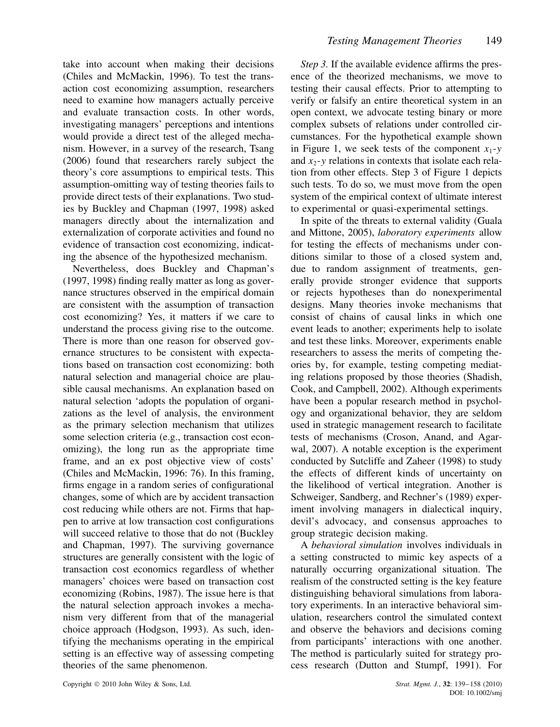take into account when making their decisions (Chiles and McMackin, 1996). To test the transaction cost economizing assumption, researchers need to examine how managers actually perceive and evaluate transaction costs. In other words, investigating managers' perceptions and intentions would provide a direct test of the alleged mechanism. However, in a survey of the research, Tsang (2006) found that researchers rarely subject the theory's core assumptions to empirical tests. This assumption-omitting way of testing theories fails to provide direct tests of their explanations. Two studies by Buckley and Chapman (1997, 1998) asked managers directly about the internalization and externalization of corporate activities and found no evidence of transaction cost economizing, indicating the absence of the hypothesized mechanism.

Nevertheless, does Buckley and Chapman's (1997, 1998) finding really matter as long as governance structures observed in the empirical domain are consistent with the assumption of transaction cost economizing? Yes, it matters if we care to understand the process giving rise to the outcome. There is more than one reason for observed governance structures to be consistent with expectations based on transaction cost economizing: both natural selection and managerial choice are plausible causal mechanisms. An explanation based on natural selection 'adopts the population of organizations as the level of analysis, the environment as the primary selection mechanism that utilizes some selection criteria (e.g., transaction cost economizing), the long run as the appropriate time frame, and an ex post objective view of costs' (Chiles and McMackin, 1996: 76). In this framing, firms engage in a random series of configurational changes, some of which are by accident transaction cost reducing while others are not. Firms that happen to arrive at low transaction cost configurations will succeed relative to those that do not (Buckley and Chapman, 1997). The surviving governance structures are generally consistent with the logic of transaction cost economics regardless of whether managers' choices were based on transaction cost economizing (Robins, 1987). The issue here is that the natural selection approach invokes a mechanism very different from that of the managerial choice approach (Hodgson, 1993). As such, identifying the mechanisms operating in the empirical setting is an effective way of assessing competing theories of the same phenomenon.

*Step 3.* If the available evidence affirms the presence of the theorized mechanisms, we move to testing their causal effects. Prior to attempting to verify or falsify an entire theoretical system in an open context, we advocate testing binary or more complex subsets of relations under controlled circumstances. For the hypothetical example shown in Figure 1, we seek tests of the component  $x_1-y$ and  $x_2$ - $y$  relations in contexts that isolate each relation from other effects. Step 3 of Figure 1 depicts such tests. To do so, we must move from the open system of the empirical context of ultimate interest to experimental or quasi-experimental settings.

In spite of the threats to external validity (Guala and Mittone, 2005), *laboratory experiments* allow for testing the effects of mechanisms under conditions similar to those of a closed system and, due to random assignment of treatments, generally provide stronger evidence that supports or rejects hypotheses than do nonexperimental designs. Many theories invoke mechanisms that consist of chains of causal links in which one event leads to another; experiments help to isolate and test these links. Moreover, experiments enable researchers to assess the merits of competing theories by, for example, testing competing mediating relations proposed by those theories (Shadish, Cook, and Campbell, 2002). Although experiments have been a popular research method in psychology and organizational behavior, they are seldom used in strategic management research to facilitate tests of mechanisms (Croson, Anand, and Agarwal, 2007). A notable exception is the experiment conducted by Sutcliffe and Zaheer (1998) to study the effects of different kinds of uncertainty on the likelihood of vertical integration. Another is Schweiger, Sandberg, and Rechner's (1989) experiment involving managers in dialectical inquiry, devil's advocacy, and consensus approaches to group strategic decision making.

A *behavioral simulation* involves individuals in a setting constructed to mimic key aspects of a naturally occurring organizational situation. The realism of the constructed setting is the key feature distinguishing behavioral simulations from laboratory experiments. In an interactive behavioral simulation, researchers control the simulated context and observe the behaviors and decisions coming from participants' interactions with one another. The method is particularly suited for strategy process research (Dutton and Stumpf, 1991). For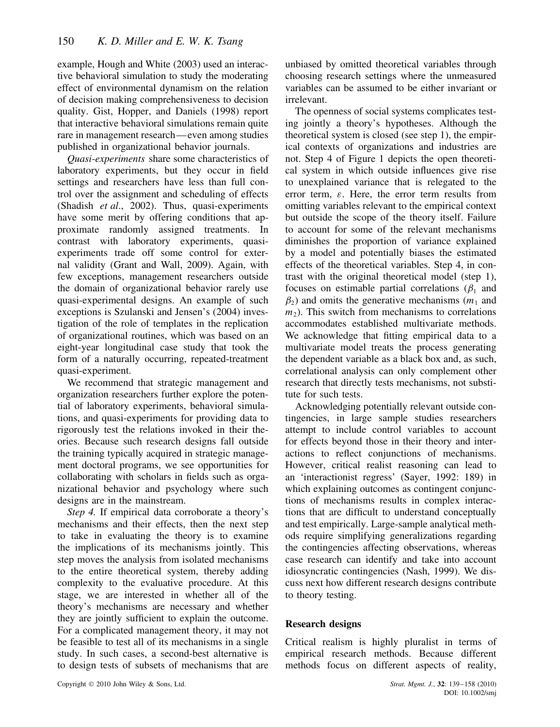example, Hough and White (2003) used an interactive behavioral simulation to study the moderating effect of environmental dynamism on the relation of decision making comprehensiveness to decision quality. Gist, Hopper, and Daniels (1998) report that interactive behavioral simulations remain quite rare in management research—even among studies published in organizational behavior journals.

*Quasi-experiments* share some characteristics of laboratory experiments, but they occur in field settings and researchers have less than full control over the assignment and scheduling of effects (Shadish *et al*., 2002). Thus, quasi-experiments have some merit by offering conditions that approximate randomly assigned treatments. In contrast with laboratory experiments, quasiexperiments trade off some control for external validity (Grant and Wall, 2009). Again, with few exceptions, management researchers outside the domain of organizational behavior rarely use quasi-experimental designs. An example of such exceptions is Szulanski and Jensen's (2004) investigation of the role of templates in the replication of organizational routines, which was based on an eight-year longitudinal case study that took the form of a naturally occurring, repeated-treatment quasi-experiment.

We recommend that strategic management and organization researchers further explore the potential of laboratory experiments, behavioral simulations, and quasi-experiments for providing data to rigorously test the relations invoked in their theories. Because such research designs fall outside the training typically acquired in strategic management doctoral programs, we see opportunities for collaborating with scholars in fields such as organizational behavior and psychology where such designs are in the mainstream.

*Step 4.* If empirical data corroborate a theory's mechanisms and their effects, then the next step to take in evaluating the theory is to examine the implications of its mechanisms jointly. This step moves the analysis from isolated mechanisms to the entire theoretical system, thereby adding complexity to the evaluative procedure. At this stage, we are interested in whether all of the theory's mechanisms are necessary and whether they are jointly sufficient to explain the outcome. For a complicated management theory, it may not be feasible to test all of its mechanisms in a single study. In such cases, a second-best alternative is to design tests of subsets of mechanisms that are unbiased by omitted theoretical variables through choosing research settings where the unmeasured variables can be assumed to be either invariant or irrelevant.

The openness of social systems complicates testing jointly a theory's hypotheses. Although the theoretical system is closed (see step 1), the empirical contexts of organizations and industries are not. Step 4 of Figure 1 depicts the open theoretical system in which outside influences give rise to unexplained variance that is relegated to the error term, *ε*. Here, the error term results from omitting variables relevant to the empirical context but outside the scope of the theory itself. Failure to account for some of the relevant mechanisms diminishes the proportion of variance explained by a model and potentially biases the estimated effects of the theoretical variables. Step 4, in contrast with the original theoretical model (step 1), focuses on estimable partial correlations  $(\beta_1)$  and  $\beta_2$ ) and omits the generative mechanisms ( $m_1$  and  $m<sub>2</sub>$ ). This switch from mechanisms to correlations accommodates established multivariate methods. We acknowledge that fitting empirical data to a multivariate model treats the process generating the dependent variable as a black box and, as such, correlational analysis can only complement other research that directly tests mechanisms, not substitute for such tests.

Acknowledging potentially relevant outside contingencies, in large sample studies researchers attempt to include control variables to account for effects beyond those in their theory and interactions to reflect conjunctions of mechanisms. However, critical realist reasoning can lead to an 'interactionist regress' (Sayer, 1992: 189) in which explaining outcomes as contingent conjunctions of mechanisms results in complex interactions that are difficult to understand conceptually and test empirically. Large-sample analytical methods require simplifying generalizations regarding the contingencies affecting observations, whereas case research can identify and take into account idiosyncratic contingencies (Nash, 1999). We discuss next how different research designs contribute to theory testing.

## **Research designs**

Critical realism is highly pluralist in terms of empirical research methods. Because different methods focus on different aspects of reality,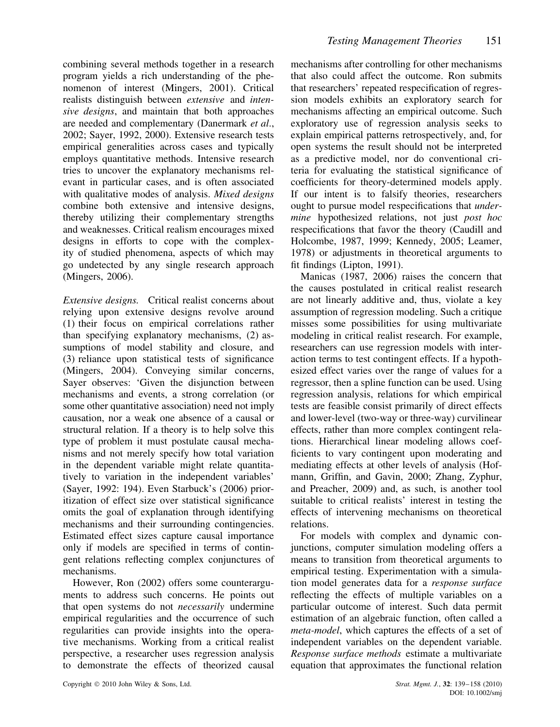combining several methods together in a research program yields a rich understanding of the phenomenon of interest (Mingers, 2001). Critical realists distinguish between *extensive* and *intensive designs*, and maintain that both approaches are needed and complementary (Danermark *et al*., 2002; Sayer, 1992, 2000). Extensive research tests empirical generalities across cases and typically employs quantitative methods. Intensive research tries to uncover the explanatory mechanisms relevant in particular cases, and is often associated with qualitative modes of analysis. *Mixed designs* combine both extensive and intensive designs, thereby utilizing their complementary strengths and weaknesses. Critical realism encourages mixed designs in efforts to cope with the complexity of studied phenomena, aspects of which may go undetected by any single research approach (Mingers, 2006).

*Extensive designs.* Critical realist concerns about relying upon extensive designs revolve around (1) their focus on empirical correlations rather than specifying explanatory mechanisms, (2) assumptions of model stability and closure, and (3) reliance upon statistical tests of significance (Mingers, 2004). Conveying similar concerns, Sayer observes: 'Given the disjunction between mechanisms and events, a strong correlation (or some other quantitative association) need not imply causation, nor a weak one absence of a causal or structural relation. If a theory is to help solve this type of problem it must postulate causal mechanisms and not merely specify how total variation in the dependent variable might relate quantitatively to variation in the independent variables' (Sayer, 1992: 194). Even Starbuck's (2006) prioritization of effect size over statistical significance omits the goal of explanation through identifying mechanisms and their surrounding contingencies. Estimated effect sizes capture causal importance only if models are specified in terms of contingent relations reflecting complex conjunctures of mechanisms.

However, Ron (2002) offers some counterarguments to address such concerns. He points out that open systems do not *necessarily* undermine empirical regularities and the occurrence of such regularities can provide insights into the operative mechanisms. Working from a critical realist perspective, a researcher uses regression analysis to demonstrate the effects of theorized causal mechanisms after controlling for other mechanisms that also could affect the outcome. Ron submits that researchers' repeated respecification of regression models exhibits an exploratory search for mechanisms affecting an empirical outcome. Such exploratory use of regression analysis seeks to explain empirical patterns retrospectively, and, for open systems the result should not be interpreted as a predictive model, nor do conventional criteria for evaluating the statistical significance of coefficients for theory-determined models apply. If our intent is to falsify theories, researchers ought to pursue model respecifications that *undermine* hypothesized relations, not just *post hoc* respecifications that favor the theory (Caudill and Holcombe, 1987, 1999; Kennedy, 2005; Leamer, 1978) or adjustments in theoretical arguments to fit findings (Lipton, 1991).

Manicas (1987, 2006) raises the concern that the causes postulated in critical realist research are not linearly additive and, thus, violate a key assumption of regression modeling. Such a critique misses some possibilities for using multivariate modeling in critical realist research. For example, researchers can use regression models with interaction terms to test contingent effects. If a hypothesized effect varies over the range of values for a regressor, then a spline function can be used. Using regression analysis, relations for which empirical tests are feasible consist primarily of direct effects and lower-level (two-way or three-way) curvilinear effects, rather than more complex contingent relations. Hierarchical linear modeling allows coefficients to vary contingent upon moderating and mediating effects at other levels of analysis (Hofmann, Griffin, and Gavin, 2000; Zhang, Zyphur, and Preacher, 2009) and, as such, is another tool suitable to critical realists' interest in testing the effects of intervening mechanisms on theoretical relations.

For models with complex and dynamic conjunctions, computer simulation modeling offers a means to transition from theoretical arguments to empirical testing. Experimentation with a simulation model generates data for a *response surface* reflecting the effects of multiple variables on a particular outcome of interest. Such data permit estimation of an algebraic function, often called a *meta-model*, which captures the effects of a set of independent variables on the dependent variable. *Response surface methods* estimate a multivariate equation that approximates the functional relation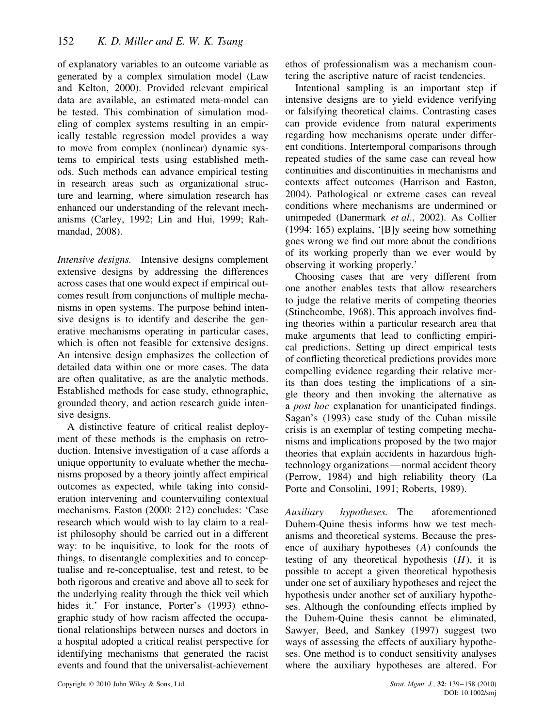of explanatory variables to an outcome variable as generated by a complex simulation model (Law and Kelton, 2000). Provided relevant empirical data are available, an estimated meta-model can be tested. This combination of simulation modeling of complex systems resulting in an empirically testable regression model provides a way to move from complex (nonlinear) dynamic systems to empirical tests using established methods. Such methods can advance empirical testing in research areas such as organizational structure and learning, where simulation research has enhanced our understanding of the relevant mechanisms (Carley, 1992; Lin and Hui, 1999; Rahmandad, 2008).

*Intensive designs.* Intensive designs complement extensive designs by addressing the differences across cases that one would expect if empirical outcomes result from conjunctions of multiple mechanisms in open systems. The purpose behind intensive designs is to identify and describe the generative mechanisms operating in particular cases, which is often not feasible for extensive designs. An intensive design emphasizes the collection of detailed data within one or more cases. The data are often qualitative, as are the analytic methods. Established methods for case study, ethnographic, grounded theory, and action research guide intensive designs.

A distinctive feature of critical realist deployment of these methods is the emphasis on retroduction. Intensive investigation of a case affords a unique opportunity to evaluate whether the mechanisms proposed by a theory jointly affect empirical outcomes as expected, while taking into consideration intervening and countervailing contextual mechanisms. Easton (2000: 212) concludes: 'Case research which would wish to lay claim to a realist philosophy should be carried out in a different way: to be inquisitive, to look for the roots of things, to disentangle complexities and to conceptualise and re-conceptualise, test and retest, to be both rigorous and creative and above all to seek for the underlying reality through the thick veil which hides it.' For instance, Porter's (1993) ethnographic study of how racism affected the occupational relationships between nurses and doctors in a hospital adopted a critical realist perspective for identifying mechanisms that generated the racist events and found that the universalist-achievement ethos of professionalism was a mechanism countering the ascriptive nature of racist tendencies.

Intentional sampling is an important step if intensive designs are to yield evidence verifying or falsifying theoretical claims. Contrasting cases can provide evidence from natural experiments regarding how mechanisms operate under different conditions. Intertemporal comparisons through repeated studies of the same case can reveal how continuities and discontinuities in mechanisms and contexts affect outcomes (Harrison and Easton, 2004). Pathological or extreme cases can reveal conditions where mechanisms are undermined or unimpeded (Danermark *et al*., 2002). As Collier (1994: 165) explains, '[B]y seeing how something goes wrong we find out more about the conditions of its working properly than we ever would by observing it working properly.'

Choosing cases that are very different from one another enables tests that allow researchers to judge the relative merits of competing theories (Stinchcombe, 1968). This approach involves finding theories within a particular research area that make arguments that lead to conflicting empirical predictions. Setting up direct empirical tests of conflicting theoretical predictions provides more compelling evidence regarding their relative merits than does testing the implications of a single theory and then invoking the alternative as a *post hoc* explanation for unanticipated findings. Sagan's (1993) case study of the Cuban missile crisis is an exemplar of testing competing mechanisms and implications proposed by the two major theories that explain accidents in hazardous hightechnology organizations—normal accident theory (Perrow, 1984) and high reliability theory (La Porte and Consolini, 1991; Roberts, 1989).

*Auxiliary hypotheses.* The aforementioned Duhem-Quine thesis informs how we test mechanisms and theoretical systems. Because the presence of auxiliary hypotheses (*A*) confounds the testing of any theoretical hypothesis  $(H)$ , it is possible to accept a given theoretical hypothesis under one set of auxiliary hypotheses and reject the hypothesis under another set of auxiliary hypotheses. Although the confounding effects implied by the Duhem-Quine thesis cannot be eliminated, Sawyer, Beed, and Sankey (1997) suggest two ways of assessing the effects of auxiliary hypotheses. One method is to conduct sensitivity analyses where the auxiliary hypotheses are altered. For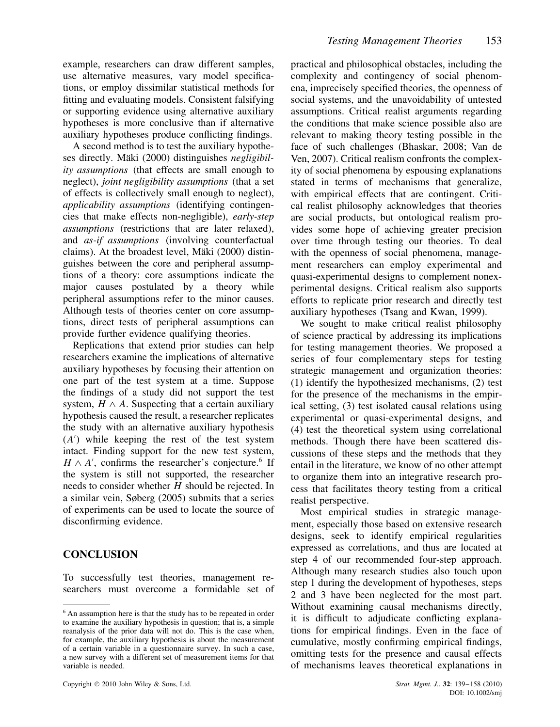example, researchers can draw different samples, use alternative measures, vary model specifications, or employ dissimilar statistical methods for fitting and evaluating models. Consistent falsifying or supporting evidence using alternative auxiliary hypotheses is more conclusive than if alternative auxiliary hypotheses produce conflicting findings.

A second method is to test the auxiliary hypotheses directly. Mäki (2000) distinguishes *negligibility assumptions* (that effects are small enough to neglect), *joint negligibility assumptions* (that a set of effects is collectively small enough to neglect), *applicability assumptions* (identifying contingencies that make effects non-negligible), *early-step assumptions* (restrictions that are later relaxed), and *as-if assumptions* (involving counterfactual claims). At the broadest level, Mäki  $(2000)$  distinguishes between the core and peripheral assumptions of a theory: core assumptions indicate the major causes postulated by a theory while peripheral assumptions refer to the minor causes. Although tests of theories center on core assumptions, direct tests of peripheral assumptions can provide further evidence qualifying theories.

Replications that extend prior studies can help researchers examine the implications of alternative auxiliary hypotheses by focusing their attention on one part of the test system at a time. Suppose the findings of a study did not support the test system,  $H \wedge A$ . Suspecting that a certain auxiliary hypothesis caused the result, a researcher replicates the study with an alternative auxiliary hypothesis (*A* ) while keeping the rest of the test system intact. Finding support for the new test system,  $H \wedge A'$ , confirms the researcher's conjecture.<sup>6</sup> If the system is still not supported, the researcher needs to consider whether *H* should be rejected. In a similar vein, Søberg (2005) submits that a series of experiments can be used to locate the source of disconfirming evidence.

# **CONCLUSION**

To successfully test theories, management researchers must overcome a formidable set of practical and philosophical obstacles, including the complexity and contingency of social phenomena, imprecisely specified theories, the openness of social systems, and the unavoidability of untested assumptions. Critical realist arguments regarding the conditions that make science possible also are relevant to making theory testing possible in the face of such challenges (Bhaskar, 2008; Van de Ven, 2007). Critical realism confronts the complexity of social phenomena by espousing explanations stated in terms of mechanisms that generalize, with empirical effects that are contingent. Critical realist philosophy acknowledges that theories are social products, but ontological realism provides some hope of achieving greater precision over time through testing our theories. To deal with the openness of social phenomena, management researchers can employ experimental and quasi-experimental designs to complement nonexperimental designs. Critical realism also supports efforts to replicate prior research and directly test auxiliary hypotheses (Tsang and Kwan, 1999).

We sought to make critical realist philosophy of science practical by addressing its implications for testing management theories. We proposed a series of four complementary steps for testing strategic management and organization theories: (1) identify the hypothesized mechanisms, (2) test for the presence of the mechanisms in the empirical setting, (3) test isolated causal relations using experimental or quasi-experimental designs, and (4) test the theoretical system using correlational methods. Though there have been scattered discussions of these steps and the methods that they entail in the literature, we know of no other attempt to organize them into an integrative research process that facilitates theory testing from a critical realist perspective.

Most empirical studies in strategic management, especially those based on extensive research designs, seek to identify empirical regularities expressed as correlations, and thus are located at step 4 of our recommended four-step approach. Although many research studies also touch upon step 1 during the development of hypotheses, steps 2 and 3 have been neglected for the most part. Without examining causal mechanisms directly, it is difficult to adjudicate conflicting explanations for empirical findings. Even in the face of cumulative, mostly confirming empirical findings, omitting tests for the presence and causal effects of mechanisms leaves theoretical explanations in

<sup>6</sup> An assumption here is that the study has to be repeated in order to examine the auxiliary hypothesis in question; that is, a simple reanalysis of the prior data will not do. This is the case when, for example, the auxiliary hypothesis is about the measurement of a certain variable in a questionnaire survey. In such a case, a new survey with a different set of measurement items for that variable is needed.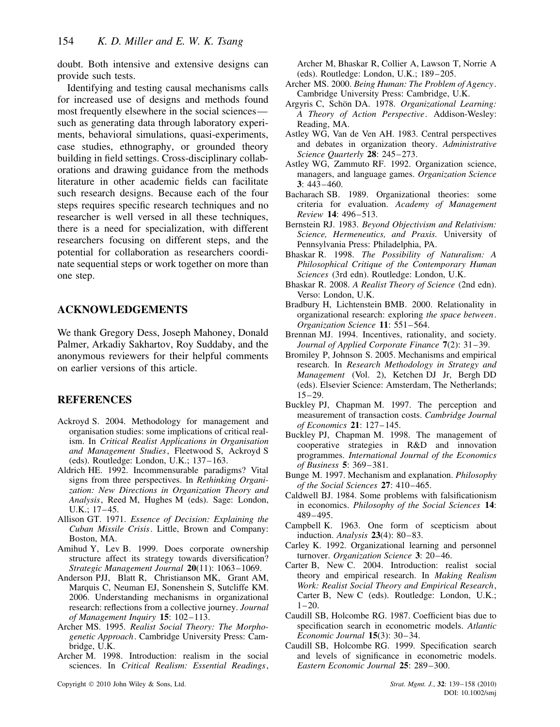doubt. Both intensive and extensive designs can provide such tests.

Identifying and testing causal mechanisms calls for increased use of designs and methods found most frequently elsewhere in the social sciences such as generating data through laboratory experiments, behavioral simulations, quasi-experiments, case studies, ethnography, or grounded theory building in field settings. Cross-disciplinary collaborations and drawing guidance from the methods literature in other academic fields can facilitate such research designs. Because each of the four steps requires specific research techniques and no researcher is well versed in all these techniques, there is a need for specialization, with different researchers focusing on different steps, and the potential for collaboration as researchers coordinate sequential steps or work together on more than one step.

## **ACKNOWLEDGEMENTS**

We thank Gregory Dess, Joseph Mahoney, Donald Palmer, Arkadiy Sakhartov, Roy Suddaby, and the anonymous reviewers for their helpful comments on earlier versions of this article.

## **REFERENCES**

- Ackroyd S. 2004. Methodology for management and organisation studies: some implications of critical realism. In *Critical Realist Applications in Organisation and Management Studies*, Fleetwood S, Ackroyd S (eds). Routledge: London, U.K.; 137–163.
- Aldrich HE. 1992. Incommensurable paradigms? Vital signs from three perspectives. In *Rethinking Organization: New Directions in Organization Theory and Analysis*, Reed M, Hughes M (eds). Sage: London, U.K.; 17–45.
- Allison GT. 1971. *Essence of Decision: Explaining the Cuban Missile Crisis*. Little, Brown and Company: Boston, MA.
- Amihud Y, Lev B. 1999. Does corporate ownership structure affect its strategy towards diversification? *Strategic Management Journal* **20**(11): 1063–1069.
- Anderson PJJ, Blatt R, Christianson MK, Grant AM, Marquis C, Neuman EJ, Sonenshein S, Sutcliffe KM. 2006. Understanding mechanisms in organizational research: reflections from a collective journey. *Journal of Management Inquiry* **15**: 102–113.
- Archer MS. 1995. *Realist Social Theory: The Morphogenetic Approach*. Cambridge University Press: Cambridge, U.K.
- Archer M. 1998. Introduction: realism in the social sciences. In *Critical Realism: Essential Readings*,

Archer M, Bhaskar R, Collier A, Lawson T, Norrie A (eds). Routledge: London, U.K.; 189–205.

- Archer MS. 2000. *Being Human: The Problem of Agency*. Cambridge University Press: Cambridge, U.K.
- Argyris C, Schön DA. 1978. Organizational Learning: *A Theory of Action Perspective*. Addison-Wesley: Reading, MA.
- Astley WG, Van de Ven AH. 1983. Central perspectives and debates in organization theory. *Administrative Science Quarterly* **28**: 245–273.
- Astley WG, Zammuto RF. 1992. Organization science, managers, and language games. *Organization Science* **3**: 443–460.
- Bacharach SB. 1989. Organizational theories: some criteria for evaluation. *Academy of Management Review* **14**: 496–513.
- Bernstein RJ. 1983. *Beyond Objectivism and Relativism: Science, Hermeneutics, and Praxis.* University of Pennsylvania Press: Philadelphia, PA.
- Bhaskar R. 1998. *The Possibility of Naturalism: A Philosophical Critique of the Contemporary Human Sciences* (3rd edn). Routledge: London, U.K.
- Bhaskar R. 2008. *A Realist Theory of Science* (2nd edn). Verso: London, U.K.
- Bradbury H, Lichtenstein BMB. 2000. Relationality in organizational research: exploring *the space between*. *Organization Science* **11**: 551–564.
- Brennan MJ. 1994. Incentives, rationality, and society. *Journal of Applied Corporate Finance* **7**(2): 31–39.
- Bromiley P, Johnson S. 2005. Mechanisms and empirical research. In *Research Methodology in Strategy and Management* (Vol. 2), Ketchen DJ Jr, Bergh DD (eds). Elsevier Science: Amsterdam, The Netherlands;  $15-29.$
- Buckley PJ, Chapman M. 1997. The perception and measurement of transaction costs. *Cambridge Journal of Economics* **21**: 127–145.
- Buckley PJ, Chapman M. 1998. The management of cooperative strategies in R&D and innovation programmes. *International Journal of the Economics of Business* **5**: 369–381.
- Bunge M. 1997. Mechanism and explanation. *Philosophy of the Social Sciences* **27**: 410–465.
- Caldwell BJ. 1984. Some problems with falsificationism in economics. *Philosophy of the Social Sciences* **14**: 489–495.
- Campbell K. 1963. One form of scepticism about induction. *Analysis* **23**(4): 80–83.
- Carley K. 1992. Organizational learning and personnel turnover. *Organization Science* **3**: 20–46.
- Carter B, New C. 2004. Introduction: realist social theory and empirical research. In *Making Realism Work: Realist Social Theory and Empirical Research*, Carter B, New C (eds). Routledge: London, U.K.;  $1 - 20.$
- Caudill SB, Holcombe RG. 1987. Coefficient bias due to specification search in econometric models. *Atlantic Economic Journal* **15**(3): 30–34.
- Caudill SB, Holcombe RG. 1999. Specification search and levels of significance in econometric models. *Eastern Economic Journal* **25**: 289–300.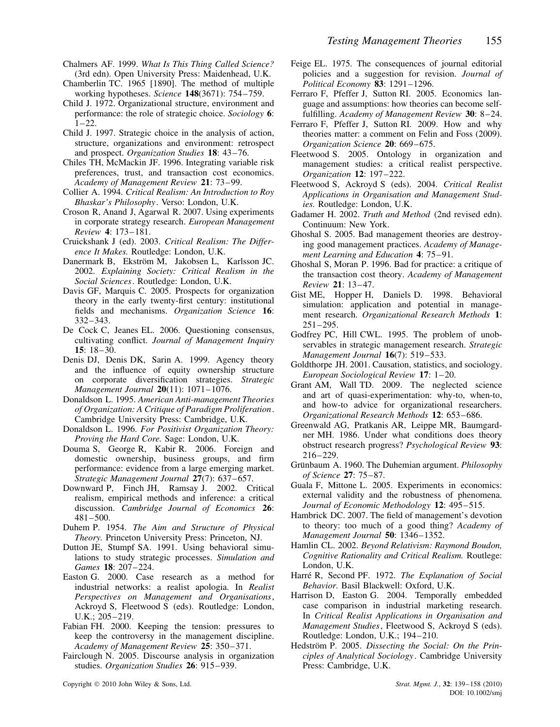- Chalmers AF. 1999. *What Is This Thing Called Science?* (3rd edn). Open University Press: Maidenhead, U.K.
- Chamberlin TC. 1965 [1890]. The method of multiple working hypotheses. *Science* **148**(3671): 754–759.
- Child J. 1972. Organizational structure, environment and performance: the role of strategic choice. *Sociology* **6**:  $1-22.$
- Child J. 1997. Strategic choice in the analysis of action, structure, organizations and environment: retrospect and prospect. *Organization Studies* **18**: 43–76.
- Chiles TH, McMackin JF. 1996. Integrating variable risk preferences, trust, and transaction cost economics. *Academy of Management Review* **21**: 73–99.
- Collier A. 1994. *Critical Realism: An Introduction to Roy Bhaskar's Philosophy*. Verso: London, U.K.
- Croson R, Anand J, Agarwal R. 2007. Using experiments in corporate strategy research. *European Management Review* **4**: 173–181.
- Cruickshank J (ed). 2003. *Critical Realism: The Difference It Makes.* Routledge: London, U.K.
- Danermark B, Ekström M, Jakobsen L, Karlsson JC. 2002. *Explaining Society: Critical Realism in the Social Sciences*. Routledge: London, U.K.
- Davis GF, Marquis C. 2005. Prospects for organization theory in the early twenty-first century: institutional fields and mechanisms. *Organization Science* **16**: 332–343.
- De Cock C, Jeanes EL. 2006. Questioning consensus, cultivating conflict. *Journal of Management Inquiry* **15**: 18–30.
- Denis DJ, Denis DK, Sarin A. 1999. Agency theory and the influence of equity ownership structure on corporate diversification strategies. *Strategic Management Journal* **20**(11): 1071–1076.
- Donaldson L. 1995. *American Anti-management Theories of Organization: A Critique of Paradigm Proliferation*. Cambridge University Press: Cambridge, U.K.
- Donaldson L. 1996. *For Positivist Organization Theory: Proving the Hard Core.* Sage: London, U.K.
- Douma S, George R, Kabir R. 2006. Foreign and domestic ownership, business groups, and firm performance: evidence from a large emerging market. *Strategic Management Journal* **27**(7): 637–657.
- Downward P, Finch JH, Ramsay J. 2002. Critical realism, empirical methods and inference: a critical discussion. *Cambridge Journal of Economics* **26**: 481–500.
- Duhem P. 1954. *The Aim and Structure of Physical Theory.* Princeton University Press: Princeton, NJ.
- Dutton JE, Stumpf SA. 1991. Using behavioral simulations to study strategic processes. *Simulation and Games* **18**: 207–224.
- Easton G. 2000. Case research as a method for industrial networks: a realist apologia. In *Realist Perspectives on Management and Organisations*, Ackroyd S, Fleetwood S (eds). Routledge: London, U.K.; 205–219.
- Fabian FH. 2000. Keeping the tension: pressures to keep the controversy in the management discipline. *Academy of Management Review* **25**: 350–371.
- Fairclough N. 2005. Discourse analysis in organization studies. *Organization Studies* **26**: 915–939.
- Feige EL. 1975. The consequences of journal editorial policies and a suggestion for revision. *Journal of Political Economy* **83**: 1291–1296.
- Ferraro F, Pfeffer J, Sutton RI. 2005. Economics language and assumptions: how theories can become selffulfilling. *Academy of Management Review* **30**: 8–24.
- Ferraro F, Pfeffer J, Sutton RI. 2009. How and why theories matter: a comment on Felin and Foss (2009). *Organization Science* **20**: 669–675.
- Fleetwood S. 2005. Ontology in organization and management studies: a critical realist perspective. *Organization* **12**: 197–222.
- Fleetwood S, Ackroyd S (eds). 2004. *Critical Realist Applications in Organisation and Management Studies.* Routledge: London, U.K.
- Gadamer H. 2002. *Truth and Method* (2nd revised edn). Continuum: New York.
- Ghoshal S. 2005. Bad management theories are destroying good management practices. *Academy of Management Learning and Education* **4**: 75–91.
- Ghoshal S, Moran P. 1996. Bad for practice: a critique of the transaction cost theory. *Academy of Management Review* **21**: 13–47.
- Gist ME, Hopper H, Daniels D. 1998. Behavioral simulation: application and potential in management research. *Organizational Research Methods* **1**: 251–295.
- Godfrey PC, Hill CWL. 1995. The problem of unobservables in strategic management research. *Strategic Management Journal* **16**(7): 519–533.
- Goldthorpe JH. 2001. Causation, statistics, and sociology. *European Sociological Review* **17**: 1–20.
- Grant AM, Wall TD. 2009. The neglected science and art of quasi-experimentation: why-to, when-to, and how-to advice for organizational researchers. *Organizational Research Methods* **12**: 653–686.
- Greenwald AG, Pratkanis AR, Leippe MR, Baumgardner MH. 1986. Under what conditions does theory obstruct research progress? *Psychological Review* **93**: 216–229.
- Grünbaum A. 1960. The Duhemian argument. *Philosophy of Science* **27**: 75–87.
- Guala F, Mittone L. 2005. Experiments in economics: external validity and the robustness of phenomena. *Journal of Economic Methodology* **12**: 495–515.
- Hambrick DC. 2007. The field of management's devotion to theory: too much of a good thing? *Academy of Management Journal* **50**: 1346–1352.
- Hamlin CL. 2002. *Beyond Relativism: Raymond Boudon, Cognitive Rationality and Critical Realism.* Routlege: London, U.K.
- Harré R, Second PF. 1972. The Explanation of Social *Behavior.* Basil Blackwell: Oxford, U.K.
- Harrison D, Easton G. 2004. Temporally embedded case comparison in industrial marketing research. In *Critical Realist Applications in Organisation and Management Studies*, Fleetwood S, Ackroyd S (eds). Routledge: London, U.K.; 194–210.
- Hedström P. 2005. Dissecting the Social: On the Prin*ciples of Analytical Sociology*. Cambridge University Press: Cambridge, U.K.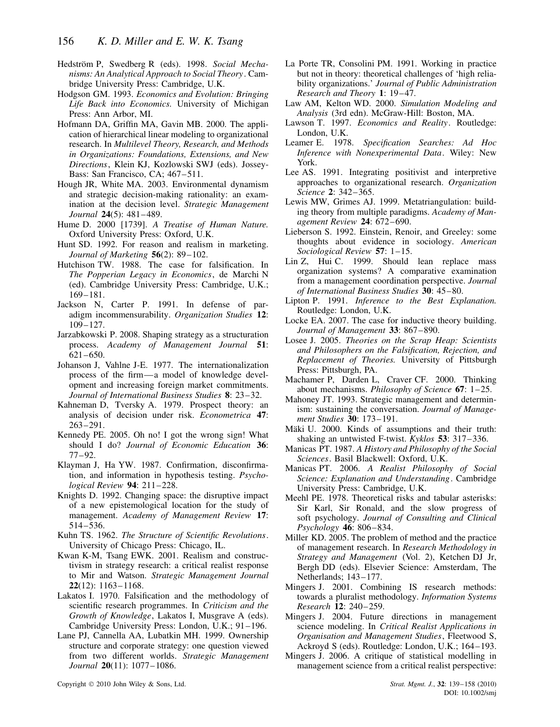- Hedström P, Swedberg R (eds). 1998. Social Mecha*nisms: An Analytical Approach to Social Theory*. Cambridge University Press: Cambridge, U.K.
- Hodgson GM. 1993. *Economics and Evolution: Bringing Life Back into Economics.* University of Michigan Press: Ann Arbor, MI.
- Hofmann DA, Griffin MA, Gavin MB. 2000. The application of hierarchical linear modeling to organizational research. In *Multilevel Theory, Research, and Methods in Organizations: Foundations, Extensions, and New Directions*, Klein KJ, Kozlowski SWJ (eds). Jossey-Bass: San Francisco, CA; 467–511.
- Hough JR, White MA. 2003. Environmental dynamism and strategic decision-making rationality: an examination at the decision level. *Strategic Management Journal* **24**(5): 481–489.
- Hume D. 2000 [1739]. *A Treatise of Human Nature.* Oxford University Press: Oxford, U.K.
- Hunt SD. 1992. For reason and realism in marketing. *Journal of Marketing* **56**(2): 89–102.
- Hutchison TW. 1988. The case for falsification. In *The Popperian Legacy in Economics*, de Marchi N (ed). Cambridge University Press: Cambridge, U.K.; 169–181.
- Jackson N, Carter P. 1991. In defense of paradigm incommensurability. *Organization Studies* **12**: 109–127.
- Jarzabkowski P. 2008. Shaping strategy as a structuration process. *Academy of Management Journal* **51**: 621–650.
- Johanson J, Vahlne J-E. 1977. The internationalization process of the firm—a model of knowledge development and increasing foreign market commitments. *Journal of International Business Studies* **8**: 23–32.
- Kahneman D, Tversky A. 1979. Prospect theory: an analysis of decision under risk. *Econometrica* **47**: 263–291.
- Kennedy PE. 2005. Oh no! I got the wrong sign! What should I do? *Journal of Economic Education* **36**: 77–92.
- Klayman J, Ha YW. 1987. Confirmation, disconfirmation, and information in hypothesis testing. *Psychological Review* **94**: 211–228.
- Knights D. 1992. Changing space: the disruptive impact of a new epistemological location for the study of management. *Academy of Management Review* **17**: 514–536.
- Kuhn TS. 1962. *The Structure of Scientific Revolutions*. University of Chicago Press: Chicago, IL.
- Kwan K-M, Tsang EWK. 2001. Realism and constructivism in strategy research: a critical realist response to Mir and Watson. *Strategic Management Journal* **22**(12): 1163–1168.
- Lakatos I. 1970. Falsification and the methodology of scientific research programmes. In *Criticism and the Growth of Knowledge*, Lakatos I, Musgrave A (eds). Cambridge University Press: London, U.K.; 91–196.
- Lane PJ, Cannella AA, Lubatkin MH. 1999. Ownership structure and corporate strategy: one question viewed from two different worlds. *Strategic Management Journal* **20**(11): 1077–1086.
- La Porte TR, Consolini PM. 1991. Working in practice but not in theory: theoretical challenges of 'high reliability organizations.' *Journal of Public Administration Research and Theory* **1**: 19–47.
- Law AM, Kelton WD. 2000. *Simulation Modeling and Analysis* (3rd edn). McGraw-Hill: Boston, MA.
- Lawson T. 1997. *Economics and Reality*. Routledge: London, U.K.
- Leamer E. 1978. *Specification Searches: Ad Hoc Inference with Nonexperimental Data*. Wiley: New York.
- Lee AS. 1991. Integrating positivist and interpretive approaches to organizational research. *Organization Science* **2**: 342–365.
- Lewis MW, Grimes AJ. 1999. Metatriangulation: building theory from multiple paradigms. *Academy of Management Review* **24**: 672–690.
- Lieberson S. 1992. Einstein, Renoir, and Greeley: some thoughts about evidence in sociology. *American Sociological Review* **57**: 1–15.
- Lin Z, Hui C. 1999. Should lean replace mass organization systems? A comparative examination from a management coordination perspective. *Journal of International Business Studies* **30**: 45–80.
- Lipton P. 1991. *Inference to the Best Explanation.* Routledge: London, U.K.
- Locke EA. 2007. The case for inductive theory building. *Journal of Management* **33**: 867–890.
- Losee J. 2005. *Theories on the Scrap Heap: Scientists and Philosophers on the Falsification, Rejection, and Replacement of Theories.* University of Pittsburgh Press: Pittsburgh, PA.
- Machamer P, Darden L, Craver CF. 2000. Thinking about mechanisms. *Philosophy of Science* **67**: 1–25.
- Mahoney JT. 1993. Strategic management and determinism: sustaining the conversation. *Journal of Management Studies* **30**: 173–191.
- Mäki U. 2000. Kinds of assumptions and their truth: shaking an untwisted F-twist. *Kyklos* **53**: 317–336.
- Manicas PT. 1987. *A History and Philosophy of the Social Sciences*. Basil Blackwell: Oxford, U.K.
- Manicas PT. 2006. *A Realist Philosophy of Social Science: Explanation and Understanding*. Cambridge University Press: Cambridge, U.K.
- Meehl PE. 1978. Theoretical risks and tabular asterisks: Sir Karl, Sir Ronald, and the slow progress of soft psychology. *Journal of Consulting and Clinical Psychology* **46**: 806–834.
- Miller KD. 2005. The problem of method and the practice of management research. In *Research Methodology in Strategy and Management* (Vol. 2), Ketchen DJ Jr, Bergh DD (eds). Elsevier Science: Amsterdam, The Netherlands; 143–177.
- Mingers J. 2001. Combining IS research methods: towards a pluralist methodology. *Information Systems Research* **12**: 240–259.
- Mingers J. 2004. Future directions in management science modeling. In *Critical Realist Applications in Organisation and Management Studies*, Fleetwood S, Ackroyd S (eds). Routledge: London, U.K.; 164–193.
- Mingers J. 2006. A critique of statistical modelling in management science from a critical realist perspective: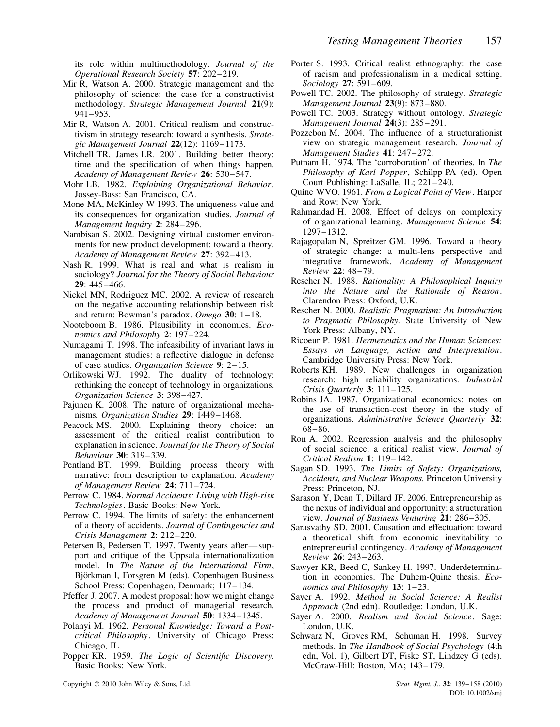its role within multimethodology. *Journal of the Operational Research Society* **57**: 202–219.

- Mir R, Watson A. 2000. Strategic management and the philosophy of science: the case for a constructivist methodology. *Strategic Management Journal* **21**(9): 941–953.
- Mir R, Watson A. 2001. Critical realism and constructivism in strategy research: toward a synthesis. *Strategic Management Journal* **22**(12): 1169–1173.
- Mitchell TR, James LR. 2001. Building better theory: time and the specification of when things happen. *Academy of Management Review* **26**: 530–547.
- Mohr LB. 1982. *Explaining Organizational Behavior*. Jossey-Bass: San Francisco, CA.
- Mone MA, McKinley W 1993. The uniqueness value and its consequences for organization studies. *Journal of Management Inquiry* **2**: 284–296.
- Nambisan S. 2002. Designing virtual customer environments for new product development: toward a theory. *Academy of Management Review* **27**: 392–413.
- Nash R. 1999. What is real and what is realism in sociology? *Journal for the Theory of Social Behaviour* **29**: 445–466.
- Nickel MN, Rodriguez MC. 2002. A review of research on the negative accounting relationship between risk and return: Bowman's paradox. *Omega* **30**: 1–18.
- Nooteboom B. 1986. Plausibility in economics. *Economics and Philosophy* **2**: 197–224.
- Numagami T. 1998. The infeasibility of invariant laws in management studies: a reflective dialogue in defense of case studies. *Organization Science* **9**: 2–15.
- Orlikowski WJ. 1992. The duality of technology: rethinking the concept of technology in organizations. *Organization Science* **3**: 398–427.
- Pajunen K. 2008. The nature of organizational mechanisms. *Organization Studies* **29**: 1449–1468.
- Peacock MS. 2000. Explaining theory choice: an assessment of the critical realist contribution to explanation in science. *Journal for the Theory of Social Behaviour* **30**: 319–339.
- Pentland BT. 1999. Building process theory with narrative: from description to explanation. *Academy of Management Review* **24**: 711–724.
- Perrow C. 1984. *Normal Accidents: Living with High-risk Technologies*. Basic Books: New York.
- Perrow C. 1994. The limits of safety: the enhancement of a theory of accidents. *Journal of Contingencies and Crisis Management* **2**: 212–220.
- Petersen B, Pedersen T. 1997. Twenty years after—support and critique of the Uppsala internationalization model. In *The Nature of the International Firm*, Björkman I, Forsgren M (eds). Copenhagen Business School Press: Copenhagen, Denmark; 117–134.
- Pfeffer J. 2007. A modest proposal: how we might change the process and product of managerial research. *Academy of Management Journal* **50**: 1334–1345.
- Polanyi M. 1962. *Personal Knowledge: Toward a Postcritical Philosophy*. University of Chicago Press: Chicago, IL.
- Popper KR. 1959. *The Logic of Scientific Discovery.* Basic Books: New York.
- Porter S. 1993. Critical realist ethnography: the case of racism and professionalism in a medical setting. *Sociology* **27**: 591–609.
- Powell TC. 2002. The philosophy of strategy. *Strategic Management Journal* **23**(9): 873–880.
- Powell TC. 2003. Strategy without ontology. *Strategic Management Journal* **24**(3): 285–291.
- Pozzebon M. 2004. The influence of a structurationist view on strategic management research. *Journal of Management Studies* **41**: 247–272.
- Putnam H. 1974. The 'corroboration' of theories. In *The Philosophy of Karl Popper*, Schilpp PA (ed). Open Court Publishing: LaSalle, IL; 221–240.
- Quine WVO. 1961. *From a Logical Point of View*. Harper and Row: New York.
- Rahmandad H. 2008. Effect of delays on complexity of organizational learning. *Management Science* **54**: 1297–1312.
- Rajagopalan N, Spreitzer GM. 1996. Toward a theory of strategic change: a multi-lens perspective and integrative framework. *Academy of Management Review* **22**: 48–79.
- Rescher N. 1988. *Rationality: A Philosophical Inquiry into the Nature and the Rationale of Reason*. Clarendon Press: Oxford, U.K.
- Rescher N. 2000. *Realistic Pragmatism: An Introduction to Pragmatic Philosophy.* State University of New York Press: Albany, NY.
- Ricoeur P. 1981. *Hermeneutics and the Human Sciences: Essays on Language, Action and Interpretation*. Cambridge University Press: New York.
- Roberts KH. 1989. New challenges in organization research: high reliability organizations. *Industrial Crisis Quarterly* **3**: 111–125.
- Robins JA. 1987. Organizational economics: notes on the use of transaction-cost theory in the study of organizations. *Administrative Science Quarterly* **32**: 68–86.
- Ron A. 2002. Regression analysis and the philosophy of social science: a critical realist view. *Journal of Critical Realism* **1**: 119–142.
- Sagan SD. 1993. *The Limits of Safety: Organizations, Accidents, and Nuclear Weapons.* Princeton University Press: Princeton, NJ.
- Sarason Y, Dean T, Dillard JF. 2006. Entrepreneurship as the nexus of individual and opportunity: a structuration view. *Journal of Business Venturing* **21**: 286–305.
- Sarasvathy SD. 2001. Causation and effectuation: toward a theoretical shift from economic inevitability to entrepreneurial contingency. *Academy of Management Review* **26**: 243–263.
- Sawyer KR, Beed C, Sankey H. 1997. Underdetermination in economics. The Duhem-Quine thesis. *Economics and Philosophy* **13**: 1–23.
- Sayer A. 1992. *Method in Social Science: A Realist Approach* (2nd edn). Routledge: London, U.K.
- Sayer A. 2000. *Realism and Social Science*. Sage: London, U.K.
- Schwarz N, Groves RM, Schuman H. 1998. Survey methods. In *The Handbook of Social Psychology* (4th edn, Vol. 1), Gilbert DT, Fiske ST, Lindzey G (eds). McGraw-Hill: Boston, MA; 143–179.